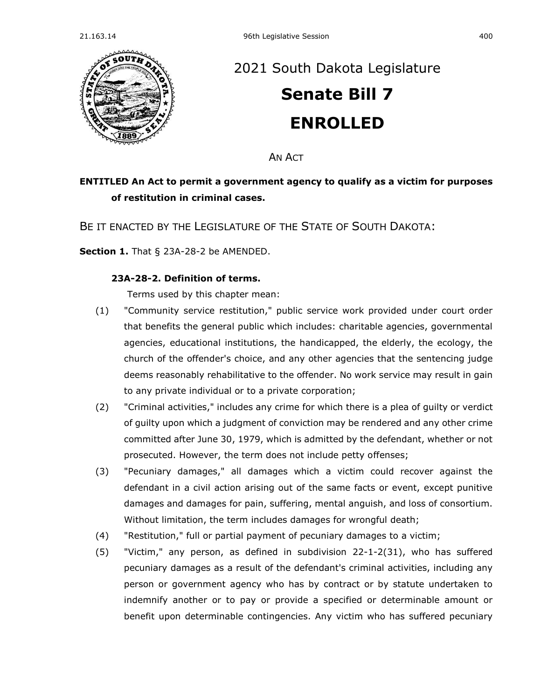

## [2021 South Dakota Legislature](https://sdlegislature.gov/Session/Bills/44) **[Senate Bill 7](https://sdlegislature.gov/Session/Bill/21880) ENROLLED**

AN ACT

## **ENTITLED An Act to permit a government agency to qualify as a victim for purposes of restitution in criminal cases.**

BE IT ENACTED BY THE LEGISLATURE OF THE STATE OF SOUTH DAKOTA:

**Section 1.** [That § 23A-28-2 be AMENDED.](https://sdlegislature.gov/Statutes/Codified_Laws/DisplayStatute.aspx?Type=Statute&Statute=23A-28-2)

## **[23A-28-2. D](https://sdlegislature.gov/Statutes/Codified_Laws/DisplayStatute.aspx?Type=Statute&Statute=23A-28-2)efinition of terms.**

Terms used by this chapter mean:

- (1) "Community service restitution," public service work provided under court order that benefits the general public which includes: charitable agencies, governmental agencies, educational institutions, the handicapped, the elderly, the ecology, the church of the offender's choice, and any other agencies that the sentencing judge deems reasonably rehabilitative to the offender. No work service may result in gain to any private individual or to a private corporation;
- (2) "Criminal activities," includes any crime for which there is a plea of guilty or verdict of guilty upon which a judgment of conviction may be rendered and any other crime committed after June 30, 1979, which is admitted by the defendant, whether or not prosecuted. However, the term does not include petty offenses;
- (3) "Pecuniary damages," all damages which a victim could recover against the defendant in a civil action arising out of the same facts or event, except punitive damages and damages for pain, suffering, mental anguish, and loss of consortium. Without limitation, the term includes damages for wrongful death;
- (4) "Restitution," full or partial payment of pecuniary damages to a victim;
- (5) "Victim," any person, as defined in subdivision [22-1-2\(](https://sdlegislature.gov/Statutes/Codified_Laws/DisplayStatute.aspx?Type=Statute&Statute=22-1-2)31), who has suffered pecuniary damages as a result of the defendant's criminal activities, including any person or government agency who has by contract or by statute undertaken to indemnify another or to pay or provide a specified or determinable amount or benefit upon determinable contingencies. Any victim who has suffered pecuniary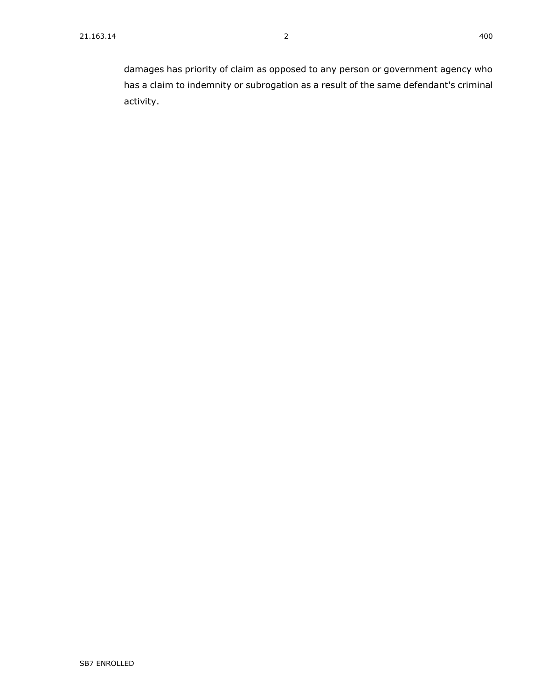damages has priority of claim as opposed to any person or government agency who has a claim to indemnity or subrogation as a result of the same defendant's criminal activity.